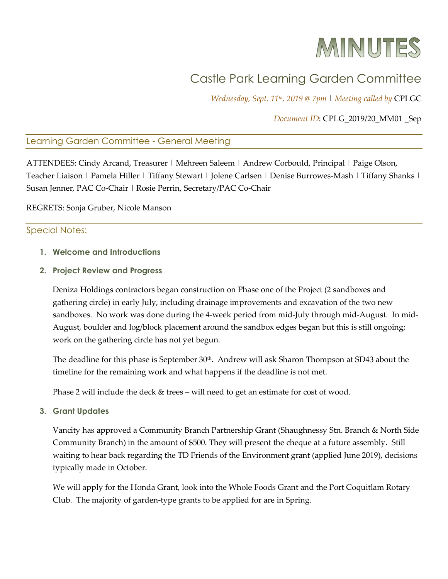# MINUTES

# Castle Park Learning Garden Committee

*Wednesday, Sept. 11th, 2019 @ 7pm* | *Meeting called by* CPLGC

## *Document ID*: CPLG\_2019/20\_MM01 \_Sep

## Learning Garden Committee - General Meeting

ATTENDEES: Cindy Arcand, Treasurer | Mehreen Saleem | Andrew Corbould, Principal | Paige Olson, Teacher Liaison | Pamela Hiller | Tiffany Stewart | Jolene Carlsen | Denise Burrowes-Mash | Tiffany Shanks | Susan Jenner, PAC Co-Chair | Rosie Perrin, Secretary/PAC Co-Chair

REGRETS: Sonja Gruber, Nicole Manson

#### Special Notes:

**1. Welcome and Introductions**

#### **2. Project Review and Progress**

Deniza Holdings contractors began construction on Phase one of the Project (2 sandboxes and gathering circle) in early July, including drainage improvements and excavation of the two new sandboxes. No work was done during the 4-week period from mid-July through mid-August. In mid-August, boulder and log/block placement around the sandbox edges began but this is still ongoing; work on the gathering circle has not yet begun.

The deadline for this phase is September 30<sup>th</sup>. Andrew will ask Sharon Thompson at SD43 about the timeline for the remaining work and what happens if the deadline is not met.

Phase 2 will include the deck & trees – will need to get an estimate for cost of wood.

**3. Grant Updates**

Vancity has approved a Community Branch Partnership Grant (Shaughnessy Stn. Branch & North Side Community Branch) in the amount of \$500. They will present the cheque at a future assembly. Still waiting to hear back regarding the TD Friends of the Environment grant (applied June 2019), decisions typically made in October.

We will apply for the Honda Grant, look into the Whole Foods Grant and the Port Coquitlam Rotary Club. The majority of garden-type grants to be applied for are in Spring.